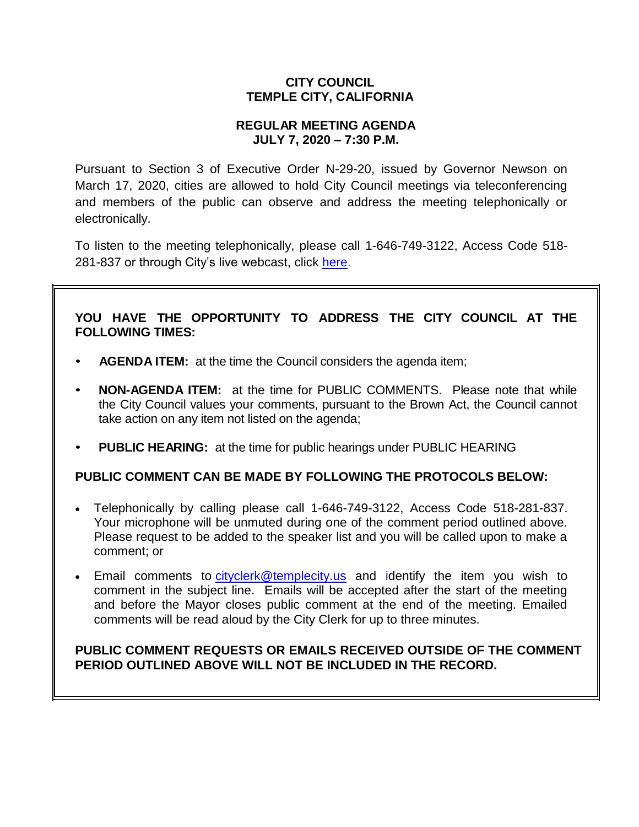# **CITY COUNCIL TEMPLE CITY, CALIFORNIA**

## **REGULAR MEETING AGENDA JULY 7, 2020 – 7:30 P.M.**

Pursuant to Section 3 of Executive Order N-29-20, issued by Governor Newson on March 17, 2020, cities are allowed to hold City Council meetings via teleconferencing and members of the public can observe and address the meeting telephonically or electronically.

To listen to the meeting telephonically, please call [1-646-749-3122,](tel:+16467493112,,558626973) Access Code 518 281-837 or through City's live webcast, click [here.](https://www.ci.temple-city.ca.us/516/Meeting-Webcast)

# **YOU HAVE THE OPPORTUNITY TO ADDRESS THE CITY COUNCIL AT THE FOLLOWING TIMES:**

- **AGENDA ITEM:** at the time the Council considers the agenda item;
- **NON-AGENDA ITEM:** at the time for PUBLIC COMMENTS. Please note that while the City Council values your comments, pursuant to the Brown Act, the Council cannot take action on any item not listed on the agenda;
- **PUBLIC HEARING:** at the time for public hearings under PUBLIC HEARING

## **PUBLIC COMMENT CAN BE MADE BY FOLLOWING THE PROTOCOLS BELOW:**

- Telephonically by calling please call [1-646-749-3122,](tel:+16467493112,,558626973) Access Code 518-281-837. Your microphone will be unmuted during one of the comment period outlined above. Please request to be added to the speaker list and you will be called upon to make a comment; or
- Email comments to [cityclerk@templecity.us](mailto:cityclerk@templecity.us) and identify the item you wish to comment in the subject line. Emails will be accepted after the start of the meeting and before the Mayor closes public comment at the end of the meeting. Emailed comments will be read aloud by the City Clerk for up to three minutes.

# **PUBLIC COMMENT REQUESTS OR EMAILS RECEIVED OUTSIDE OF THE COMMENT PERIOD OUTLINED ABOVE WILL NOT BE INCLUDED IN THE RECORD.**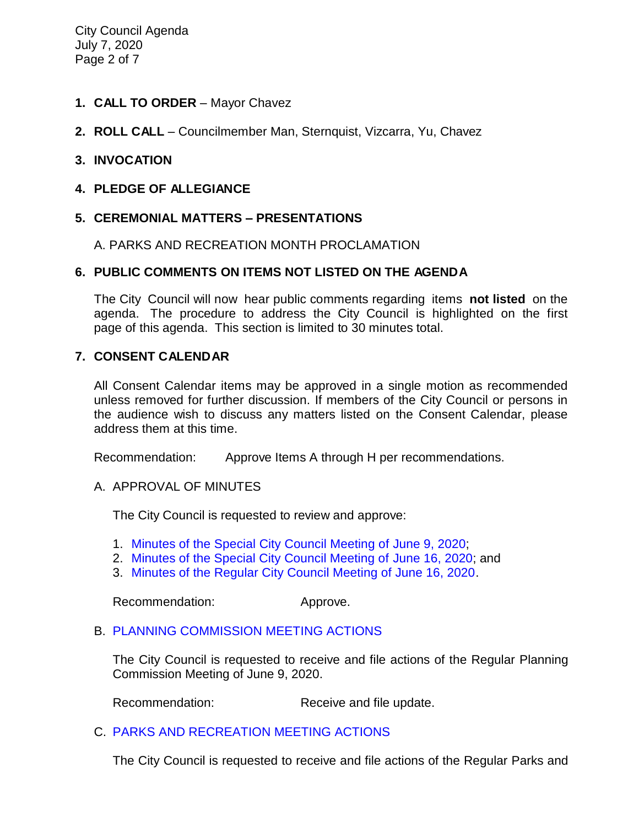- **1. CALL TO ORDER**  Mayor Chavez
- **2. ROLL CALL**  Councilmember Man, Sternquist, Vizcarra, Yu, Chavez

#### **3. INVOCATION**

#### **4. PLEDGE OF ALLEGIANCE**

## **5. CEREMONIAL MATTERS – PRESENTATIONS**

A. PARKS AND RECREATION MONTH PROCLAMATION

#### **6. PUBLIC COMMENTS ON ITEMS NOT LISTED ON THE AGENDA**

The City Council will now hear public comments regarding items **not listed** on the agenda. The procedure to address the City Council is highlighted on the first page of this agenda. This section is limited to 30 minutes total.

#### **7. CONSENT CALENDAR**

All Consent Calendar items may be approved in a single motion as recommended unless removed for further discussion. If members of the City Council or persons in the audience wish to discuss any matters listed on the Consent Calendar, please address them at this time.

Recommendation: Approve Items A through H per recommendations.

A. APPROVAL OF MINUTES

The City Council is requested to review and approve:

- 1. Minutes of the Special [City Council Meeting of June 9, 2020;](https://ca-templecity.civicplus.com/DocumentCenter/View/14692/03-7A1---CCM---2020-06-09_Budget-Study-Session)
- 2. [Minutes of the Special City Council Meeting of June 16, 2020;](https://ca-templecity.civicplus.com/DocumentCenter/View/14693/04-7A2---CCM---2020-06-16_Special-Meeting-Anticipated-Litigation) and
- 3. [Minutes of the Regular City Council Meeting of June 16, 2020.](https://ca-templecity.civicplus.com/DocumentCenter/View/14694/05-7A3---CCM---2020-06-16)

Recommendation: Approve.

#### B. [PLANNING COMMISSION MEETING ACTIONS](https://ca-templecity.civicplus.com/DocumentCenter/View/14690/7B---PC-Actions---from-2020-6-9)

The City Council is requested to receive and file actions of the Regular Planning Commission Meeting of June 9, 2020.

Recommendation: Receive and file update.

#### C. [PARKS AND RECREATION MEETING ACTIONS](https://ca-templecity.civicplus.com/DocumentCenter/View/14691/7C---PRC-Regular-Meeting-Actions-2020-06-17)

The City Council is requested to receive and file actions of the Regular Parks and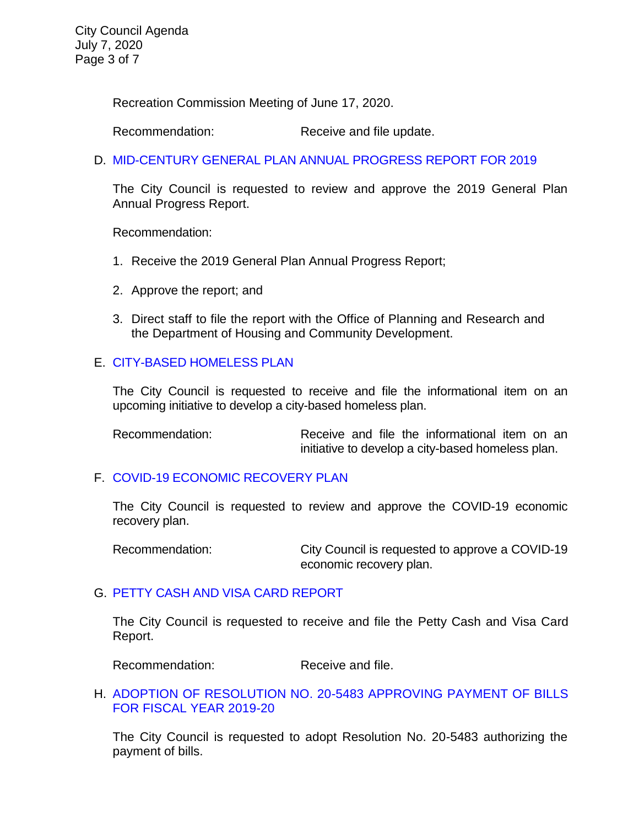Recreation Commission Meeting of June 17, 2020.

Recommendation: Receive and file update.

D. [MID-CENTURY GENERAL PLAN ANNUAL PROGRESS REPORT FOR 2019](https://ca-templecity.civicplus.com/DocumentCenter/View/14714/08-7D---Mid-Century-General-Plan-Annual-Progress-Report)

The City Council is requested to review and approve the 2019 General Plan Annual Progress Report.

Recommendation:

- 1. Receive the 2019 General Plan Annual Progress Report;
- 2. Approve the report; and
- 3. Direct staff to file the report with the Office of Planning and Research and the Department of Housing and Community Development.

# E. [CITY-BASED HOMELESS PLAN](https://ca-templecity.civicplus.com/DocumentCenter/View/14695/09-7E---Homeless-Plan_Staff-Report_finaldraft_w-attachments-A-B)

The City Council is requested to receive and file the informational item on an upcoming initiative to develop a city-based homeless plan.

Recommendation: Receive and file the informational item on an initiative to develop a city-based homeless plan.

## F. [COVID-19 ECONOMIC RECOVERY PLAN](https://ca-templecity.civicplus.com/DocumentCenter/View/14698/13-9A---Economic-Recovery-Plan_Staff-Report-w_-attachments_final)

The City Council is requested to review and approve the COVID-19 economic recovery plan.

Recommendation: City Council is requested to approve a COVID-19 economic recovery plan.

## G. [PETTY CASH AND VISA CARD REPORT](https://ca-templecity.civicplus.com/DocumentCenter/View/14724/7G-Petty-Cash--Visa-Card-Report-7-7-20)

The City Council is requested to receive and file the Petty Cash and Visa Card Report.

Recommendation: Receive and file.

## H. [ADOPTION OF RESOLUTION NO. 20-5483](https://ca-templecity.civicplus.com/DocumentCenter/View/14706/11-7G---Warrant_Reso-No-20-5483_FY-2019-20-w-attachment) APPROVING PAYMENT OF BILLS [FOR FISCAL YEAR 2019-20](https://ca-templecity.civicplus.com/DocumentCenter/View/14706/11-7G---Warrant_Reso-No-20-5483_FY-2019-20-w-attachment)

The City Council is requested to adopt Resolution No. 20-5483 authorizing the payment of bills.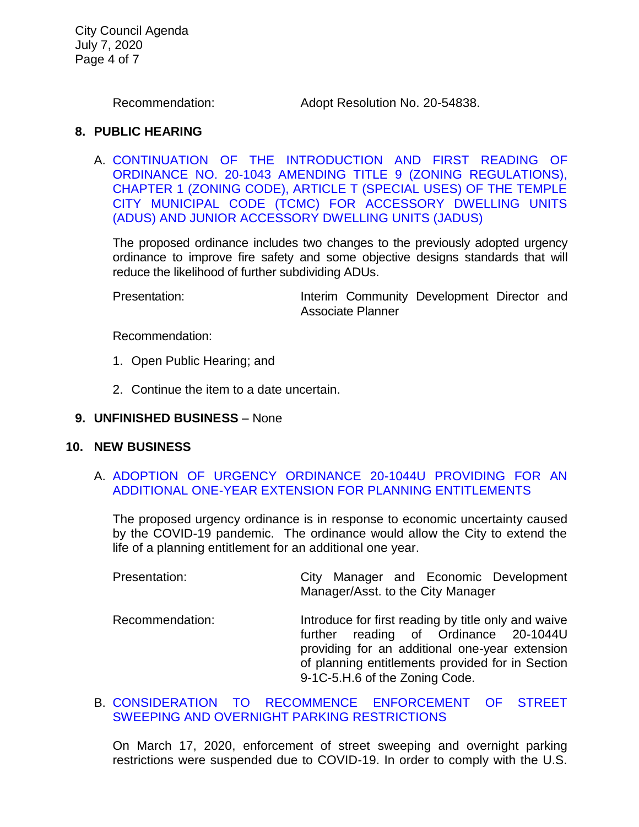City Council Agenda July 7, 2020 Page 4 of 7

Recommendation: Adopt Resolution No. 20-54838.

#### **8. PUBLIC HEARING**

A. [CONTINUATION OF THE INTRODUCTION AND FIRST READING OF](https://ca-templecity.civicplus.com/DocumentCenter/View/14705/12-8A---Staff-Report----ZTA-ADUsJADUs-Ordinance_Continue-)  [ORDINANCE NO. 20-1043 AMENDING TITLE 9 \(ZONING REGULATIONS\),](https://ca-templecity.civicplus.com/DocumentCenter/View/14705/12-8A---Staff-Report----ZTA-ADUsJADUs-Ordinance_Continue-)  [CHAPTER 1 \(ZONING CODE\), ARTICLE T \(SPECIAL USES\) OF THE TEMPLE](https://ca-templecity.civicplus.com/DocumentCenter/View/14705/12-8A---Staff-Report----ZTA-ADUsJADUs-Ordinance_Continue-)  [CITY MUNICIPAL CODE \(TCMC\) FOR ACCESSORY DWELLING UNITS](https://ca-templecity.civicplus.com/DocumentCenter/View/14705/12-8A---Staff-Report----ZTA-ADUsJADUs-Ordinance_Continue-)  [\(ADUS\) AND JUNIOR ACCESSORY DWELLING UNITS \(JADUS\)](https://ca-templecity.civicplus.com/DocumentCenter/View/14705/12-8A---Staff-Report----ZTA-ADUsJADUs-Ordinance_Continue-)

The proposed ordinance includes two changes to the previously adopted urgency ordinance to improve fire safety and some objective designs standards that will reduce the likelihood of further subdividing ADUs.

Presentation: **Interim Community Development Director and** Associate Planner

Recommendation:

- 1. Open Public Hearing; and
- 2. Continue the item to a date uncertain.

#### **9. UNFINISHED BUSINESS** – None

#### **10. NEW BUSINESS**

# A. [ADOPTION OF URGENCY ORDINANCE 20-1044U PROVIDING FOR AN](https://ca-templecity.civicplus.com/DocumentCenter/View/14696/14-10A---Planning-Entitlement---Urgency-Ordinance---Staff-Report_Fianl-w-attachment-A)  [ADDITIONAL ONE-YEAR EXTENSION FOR PLANNING ENTITLEMENTS](https://ca-templecity.civicplus.com/DocumentCenter/View/14696/14-10A---Planning-Entitlement---Urgency-Ordinance---Staff-Report_Fianl-w-attachment-A)

The proposed urgency ordinance is in response to economic uncertainty caused by the COVID-19 pandemic. The ordinance would allow the City to extend the life of a planning entitlement for an additional one year.

| Presentation:   | City Manager and Economic Development<br>Manager/Asst. to the City Manager                                                                                                                                                           |
|-----------------|--------------------------------------------------------------------------------------------------------------------------------------------------------------------------------------------------------------------------------------|
| Recommendation: | Introduce for first reading by title only and waive<br>further reading of Ordinance 20-1044U<br>providing for an additional one-year extension<br>of planning entitlements provided for in Section<br>9-1C-5.H.6 of the Zoning Code. |

#### B. [CONSIDERATION TO RECOMMENCE ENFORCEMENT OF STREET](https://ca-templecity.civicplus.com/DocumentCenter/View/14697/15-10B---Recommence-Enforcement-of-Street-Sweeping-and-Overnight-Parking-Restrictions_Staff-Report)  [SWEEPING AND OVERNIGHT PARKING RESTRICTIONS](https://ca-templecity.civicplus.com/DocumentCenter/View/14697/15-10B---Recommence-Enforcement-of-Street-Sweeping-and-Overnight-Parking-Restrictions_Staff-Report)

On March 17, 2020, enforcement of street sweeping and overnight parking restrictions were suspended due to COVID-19. In order to comply with the U.S.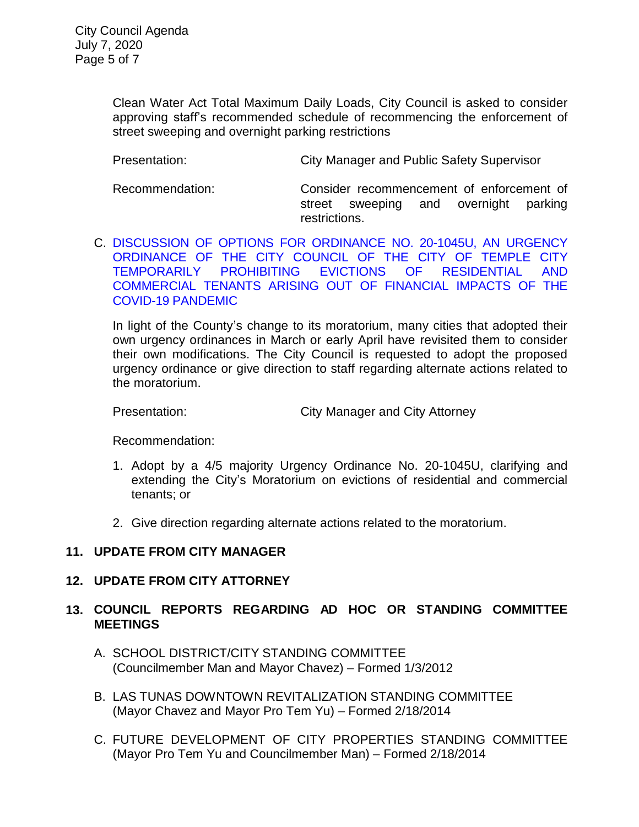Clean Water Act Total Maximum Daily Loads, City Council is asked to consider approving staff's recommended schedule of recommencing the enforcement of street sweeping and overnight parking restrictions

Presentation: City Manager and Public Safety Supervisor

Recommendation: Consider recommencement of enforcement of street sweeping and overnight parking restrictions.

C. DISCUSSION [OF OPTIONS FOR ORDINANCE NO. 20-1045U, AN](https://ca-templecity.civicplus.com/DocumentCenter/View/14723/10C-Eviction-Moratorium-July-staff-report) URGENCY [ORDINANCE OF THE](https://ca-templecity.civicplus.com/DocumentCenter/View/14723/10C-Eviction-Moratorium-July-staff-report) CITY COUNCIL OF THE CITY OF TEMPLE CITY TEMPORARILY PROHIBITING [EVICTIONS OF RESIDENTIAL AND](https://ca-templecity.civicplus.com/DocumentCenter/View/14723/10C-Eviction-Moratorium-July-staff-report)  [COMMERCIAL TENANTS ARISING OUT OF FINANCIAL IMPACTS OF THE](https://ca-templecity.civicplus.com/DocumentCenter/View/14723/10C-Eviction-Moratorium-July-staff-report)  [COVID-19 PANDEMIC](https://ca-templecity.civicplus.com/DocumentCenter/View/14723/10C-Eviction-Moratorium-July-staff-report)

In light of the County's change to its moratorium, many cities that adopted their own urgency ordinances in March or early April have revisited them to consider their own modifications. The City Council is requested to adopt the proposed urgency ordinance or give direction to staff regarding alternate actions related to the moratorium.

Presentation: City Manager and City Attorney

Recommendation:

- 1. Adopt by a 4/5 majority Urgency Ordinance No. 20-1045U, clarifying and extending the City's Moratorium on evictions of residential and commercial tenants; or
- 2. Give direction regarding alternate actions related to the moratorium.

# **11. UPDATE FROM CITY MANAGER**

## **12. UPDATE FROM CITY ATTORNEY**

# **13. COUNCIL REPORTS REGARDING AD HOC OR STANDING COMMITTEE MEETINGS**

- A. SCHOOL DISTRICT/CITY STANDING COMMITTEE (Councilmember Man and Mayor Chavez) – Formed 1/3/2012
- B. LAS TUNAS DOWNTOWN REVITALIZATION STANDING COMMITTEE (Mayor Chavez and Mayor Pro Tem Yu) – Formed 2/18/2014
- C. FUTURE DEVELOPMENT OF CITY PROPERTIES STANDING COMMITTEE (Mayor Pro Tem Yu and Councilmember Man) – Formed 2/18/2014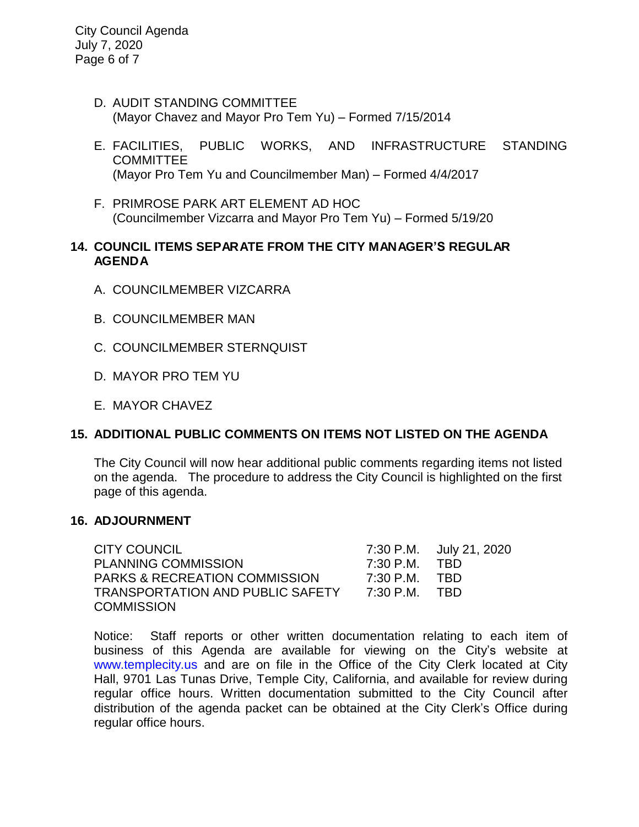City Council Agenda July 7, 2020 Page 6 of 7

- D. AUDIT STANDING COMMITTEE (Mayor Chavez and Mayor Pro Tem Yu) – Formed 7/15/2014
- E. FACILITIES, PUBLIC WORKS, AND INFRASTRUCTURE STANDING **COMMITTEE** (Mayor Pro Tem Yu and Councilmember Man) – Formed 4/4/2017
- F. PRIMROSE PARK ART ELEMENT AD HOC (Councilmember Vizcarra and Mayor Pro Tem Yu) – Formed 5/19/20

## **14. COUNCIL ITEMS SEPARATE FROM THE CITY MANAGER'S REGULAR AGENDA**

- A. COUNCILMEMBER VIZCARRA
- B. COUNCILMEMBER MAN
- C. COUNCILMEMBER STERNQUIST
- D. MAYOR PRO TEM YU
- E. MAYOR CHAVEZ

# **15. ADDITIONAL PUBLIC COMMENTS ON ITEMS NOT LISTED ON THE AGENDA**

The City Council will now hear additional public comments regarding items not listed on the agenda. The procedure to address the City Council is highlighted on the first page of this agenda.

## **16. ADJOURNMENT**

CITY COUNCIL 7:30 P.M. July 21, 2020 PLANNING COMMISSION 7:30 P.M. TBD PARKS & RECREATION COMMISSION 7:30 P.M. TBD TRANSPORTATION AND PUBLIC SAFETY 7:30 P.M. TBD **COMMISSION** 

Notice: Staff reports or other written documentation relating to each item of business of this Agenda are available for viewing on the City's website at [www.templecity.us](http://www.templecity.us/) and are on file in the Office of the City Clerk located at City Hall, 9701 Las Tunas Drive, Temple City, California, and available for review during regular office hours. Written documentation submitted to the City Council after distribution of the agenda packet can be obtained at the City Clerk's Office during regular office hours.